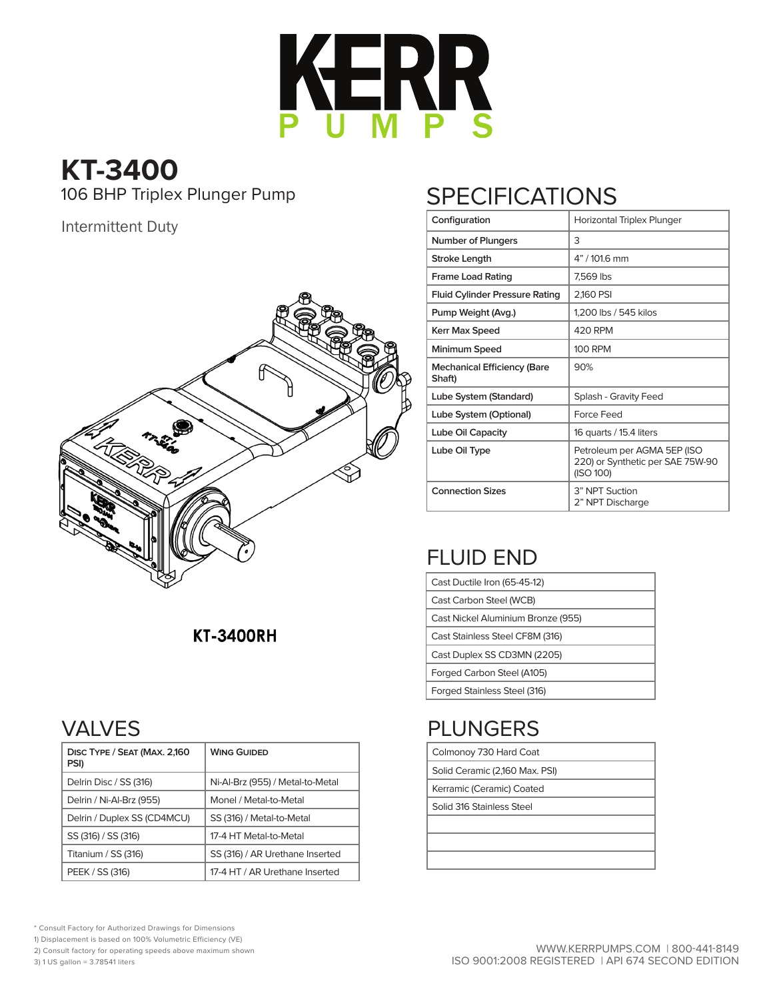

# **KT-3400**

#### Intermittent Duty



#### **KT-3400RH**

### VALVES

| DISC TYPE / SEAT (MAX. 2,160<br>PSI) | <b>WING GUIDED</b>               |
|--------------------------------------|----------------------------------|
| Delrin Disc / SS (316)               | Ni-Al-Brz (955) / Metal-to-Metal |
| Delrin / Ni-Al-Brz (955)             | Monel / Metal-to-Metal           |
| Delrin / Duplex SS (CD4MCU)          | SS (316) / Metal-to-Metal        |
| SS (316) / SS (316)                  | 17-4 HT Metal-to-Metal           |
| Titanium / SS (316)                  | SS (316) / AR Urethane Inserted  |
| PEEK / SS (316)                      | 17-4 HT / AR Urethane Inserted   |

## 106 BHP Triplex Plunger Pump SPECIFICATIONS

| Configuration                                | Horizontal Triplex Plunger                                                   |  |  |  |  |  |
|----------------------------------------------|------------------------------------------------------------------------------|--|--|--|--|--|
| <b>Number of Plungers</b>                    | 3                                                                            |  |  |  |  |  |
| Stroke Length                                | 4" / 101.6 mm                                                                |  |  |  |  |  |
| <b>Frame Load Rating</b>                     | 7,569 lbs                                                                    |  |  |  |  |  |
| <b>Fluid Cylinder Pressure Rating</b>        | 2,160 PSI                                                                    |  |  |  |  |  |
| Pump Weight (Avg.)                           | 1,200 lbs / 545 kilos                                                        |  |  |  |  |  |
| <b>Kerr Max Speed</b>                        | 420 RPM                                                                      |  |  |  |  |  |
| Minimum Speed                                | 100 RPM                                                                      |  |  |  |  |  |
| <b>Mechanical Efficiency (Bare</b><br>Shaft) | 90%                                                                          |  |  |  |  |  |
| Lube System (Standard)                       | Splash - Gravity Feed                                                        |  |  |  |  |  |
| Lube System (Optional)                       | Force Feed                                                                   |  |  |  |  |  |
| <b>Lube Oil Capacity</b>                     | 16 quarts / 15.4 liters                                                      |  |  |  |  |  |
| Lube Oil Type                                | Petroleum per AGMA 5EP (ISO<br>220) or Synthetic per SAE 75W-90<br>(ISO 100) |  |  |  |  |  |
| <b>Connection Sizes</b>                      | 3" NPT Suction<br>2" NPT Discharge                                           |  |  |  |  |  |

### FLUID END

| Cast Ductile Iron (65-45-12)       |
|------------------------------------|
| Cast Carbon Steel (WCB)            |
| Cast Nickel Aluminium Bronze (955) |
| Cast Stainless Steel CF8M (316)    |
| Cast Duplex SS CD3MN (2205)        |
| Forged Carbon Steel (A105)         |
| Forged Stainless Steel (316)       |

### PLUNGERS

|         | Colmonoy 730 Hard Coat |  |
|---------|------------------------|--|
| _ _ _ _ | .                      |  |

Solid Ceramic (2,160 Max. PSI)

Kerramic (Ceramic) Coated

Solid 316 Stainless Steel

- \* Consult Factory for Authorized Drawings for Dimensions
- 1) Displacement is based on 100% Volumetric Efficiency (VE)

2) Consult factory for operating speeds above maximum shown